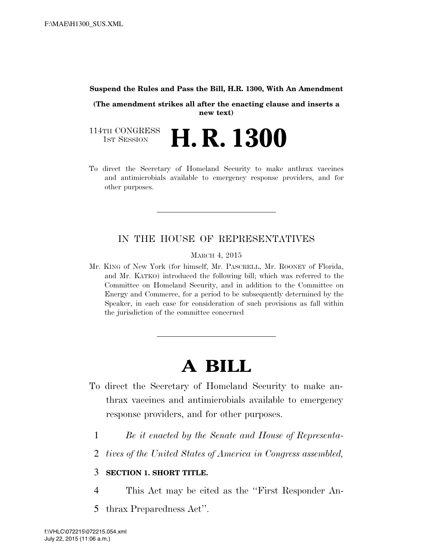#### **Suspend the Rules and Pass the Bill, H.R. 1300, With An Amendment**

**(The amendment strikes all after the enacting clause and inserts a new text)** 

114TH CONGRESS<br>1st Session 1ST SESSION **H. R. 1300**

To direct the Secretary of Homeland Security to make anthrax vaccines and antimicrobials available to emergency response providers, and for other purposes.

#### IN THE HOUSE OF REPRESENTATIVES

MARCH 4, 2015

Mr. KING of New York (for himself, Mr. PASCRELL, Mr. ROONEY of Florida, and Mr. KATKO) introduced the following bill; which was referred to the Committee on Homeland Security, and in addition to the Committee on Energy and Commerce, for a period to be subsequently determined by the Speaker, in each case for consideration of such provisions as fall within the jurisdiction of the committee concerned

## **A BILL**

- To direct the Secretary of Homeland Security to make anthrax vaccines and antimicrobials available to emergency response providers, and for other purposes.
	- 1 *Be it enacted by the Senate and House of Representa-*
	- 2 *tives of the United States of America in Congress assembled,*

#### 3 **SECTION 1. SHORT TITLE.**

- 4 This Act may be cited as the ''First Responder An-
- 5 thrax Preparedness Act''.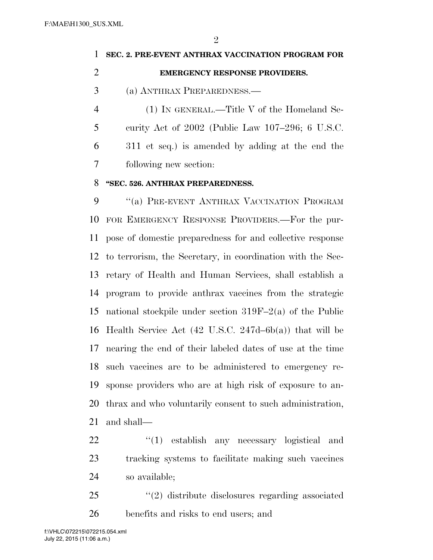$\mathfrak{D}$ 

# **SEC. 2. PRE-EVENT ANTHRAX VACCINATION PROGRAM FOR EMERGENCY RESPONSE PROVIDERS.**  (a) ANTHRAX PREPAREDNESS.— (1) IN GENERAL.—Title V of the Homeland Se-

 curity Act of 2002 (Public Law 107–296; 6 U.S.C. 311 et seq.) is amended by adding at the end the following new section:

### **''SEC. 526. ANTHRAX PREPAREDNESS.**

9 "(a) PRE-EVENT ANTHRAX VACCINATION PROGRAM FOR EMERGENCY RESPONSE PROVIDERS.—For the pur- pose of domestic preparedness for and collective response to terrorism, the Secretary, in coordination with the Sec- retary of Health and Human Services, shall establish a program to provide anthrax vaccines from the strategic national stockpile under section 319F–2(a) of the Public Health Service Act (42 U.S.C. 247d–6b(a)) that will be nearing the end of their labeled dates of use at the time such vaccines are to be administered to emergency re- sponse providers who are at high risk of exposure to an- thrax and who voluntarily consent to such administration, and shall—

22 "(1) establish any necessary logistical and tracking systems to facilitate making such vaccines so available;

25 "(2) distribute disclosures regarding associated benefits and risks to end users; and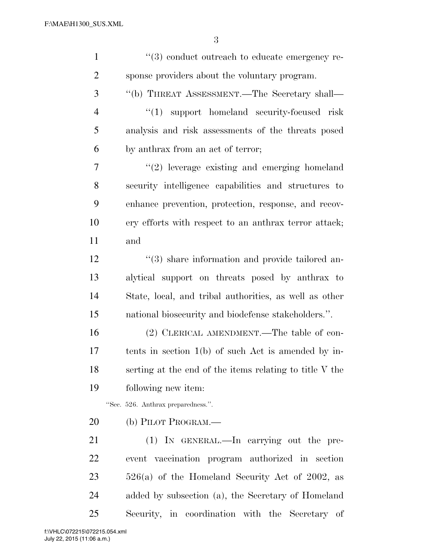| $\mathbf{1}$   | $\lq(3)$ conduct outreach to educate emergency re-              |
|----------------|-----------------------------------------------------------------|
| $\overline{2}$ | sponse providers about the voluntary program.                   |
| 3              | "(b) THREAT ASSESSMENT.—The Secretary shall—                    |
| $\overline{4}$ | "(1) support homeland security-focused risk                     |
| 5              | analysis and risk assessments of the threats posed              |
| 6              | by anthrax from an act of terror;                               |
| 7              | $"(2)$ leverage existing and emerging homeland                  |
| 8              | security intelligence capabilities and structures to            |
| 9              | enhance prevention, protection, response, and recov-            |
| 10             | ery efforts with respect to an anthrax terror attack;           |
| 11             | and                                                             |
| 12             | $\cdot\cdot\cdot(3)$ share information and provide tailored an- |
| 13             | alytical support on threats posed by anthrax to                 |
| 14             | State, local, and tribal authorities, as well as other          |
| 15             | national biosecurity and biodefense stakeholders.".             |
| 16             | (2) CLERICAL AMENDMENT.—The table of con-                       |
| 17             | tents in section $1(b)$ of such Act is amended by in-           |
| 18             | serting at the end of the items relating to title V the         |
| 19             | following new item:                                             |
|                | "Sec. 526. Anthrax preparedness.".                              |
| 20             | (b) PILOT PROGRAM.—                                             |
| 21             | (1) IN GENERAL.—In carrying out the pre-                        |
| 22             | event vaccination program authorized in section                 |
| 23             | $526(a)$ of the Homeland Security Act of 2002, as               |
| 24             | added by subsection (a), the Secretary of Homeland              |
| 25             | Security, in coordination with the Secretary of                 |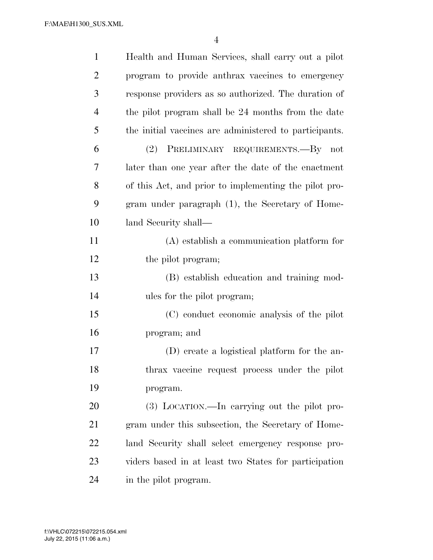F:\MAE\H1300\_SUS.XML

| $\mathbf{1}$   | Health and Human Services, shall carry out a pilot     |
|----------------|--------------------------------------------------------|
| $\overline{2}$ | program to provide anthrax vaccines to emergency       |
| 3              | response providers as so authorized. The duration of   |
| $\overline{4}$ | the pilot program shall be 24 months from the date     |
| 5              | the initial vaccines are administered to participants. |
| 6              | (2) PRELIMINARY REQUIREMENTS.—By not                   |
| 7              | later than one year after the date of the enactment    |
| 8              | of this Act, and prior to implementing the pilot pro-  |
| 9              | gram under paragraph (1), the Secretary of Home-       |
| 10             | land Security shall—                                   |
| 11             | (A) establish a communication platform for             |
| 12             | the pilot program;                                     |
| 13             | (B) establish education and training mod-              |
| 14             | ules for the pilot program;                            |
| 15             | (C) conduct economic analysis of the pilot             |
| 16             | program; and                                           |
| 17             | (D) create a logistical platform for the an-           |
| 18             | thrax vaccine request process under the pilot          |
| 19             | program.                                               |
| 20             | $(3)$ LOCATION.—In carrying out the pilot pro-         |
| 21             | gram under this subsection, the Secretary of Home-     |
| 22             | land Security shall select emergency response pro-     |
| 23             | viders based in at least two States for participation  |
| 24             | in the pilot program.                                  |

July 22, 2015 (11:06 a.m.) f:\VHLC\072215\072215.054.xml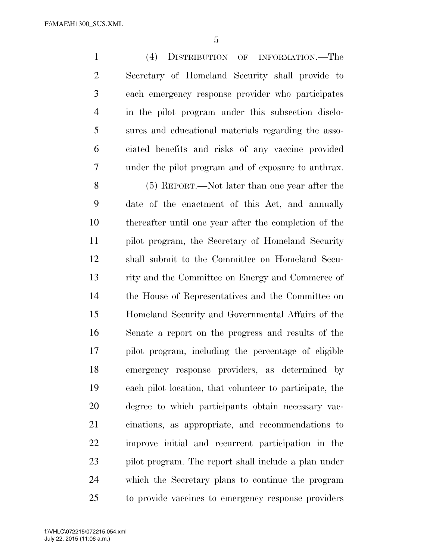(4) DISTRIBUTION OF INFORMATION.—The Secretary of Homeland Security shall provide to each emergency response provider who participates in the pilot program under this subsection disclo- sures and educational materials regarding the asso- ciated benefits and risks of any vaccine provided under the pilot program and of exposure to anthrax. (5) REPORT.—Not later than one year after the date of the enactment of this Act, and annually

 thereafter until one year after the completion of the pilot program, the Secretary of Homeland Security shall submit to the Committee on Homeland Secu- rity and the Committee on Energy and Commerce of the House of Representatives and the Committee on Homeland Security and Governmental Affairs of the Senate a report on the progress and results of the pilot program, including the percentage of eligible emergency response providers, as determined by each pilot location, that volunteer to participate, the degree to which participants obtain necessary vac- cinations, as appropriate, and recommendations to improve initial and recurrent participation in the pilot program. The report shall include a plan under which the Secretary plans to continue the program to provide vaccines to emergency response providers